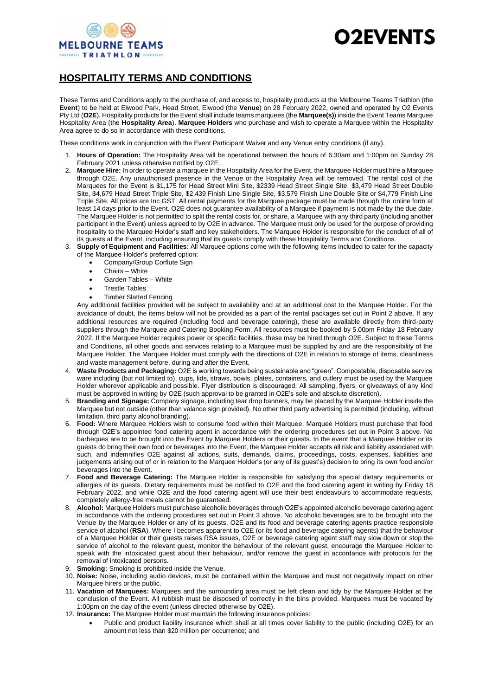

## **D2EVENTS**

## **HOSPITALITY TERMS AND CONDITIONS**

These Terms and Conditions apply to the purchase of, and access to, hospitality products at the Melbourne Teams Triathlon (the **Event**) to be held at Elwood Park, Head Street, Elwood (the **Venue**) on 28 February 2022, owned and operated by O2 Events Pty Ltd (**O2E**). Hospitality products for the Event shall include teams marquees (the **Marquee(s)**) inside the Event Teams Marquee Hospitality Area (the **Hospitality Area**). **Marquee Holders** who purchase and wish to operate a Marquee within the Hospitality Area agree to do so in accordance with these conditions.

These conditions work in conjunction with the Event Participant Waiver and any Venue entry conditions (if any).

- 1. **Hours of Operation:** The Hospitality Area will be operational between the hours of 6:30am and 1:00pm on Sunday 28 February 2021 unless otherwise notified by O2E.
- 2. **Marquee Hire:** In order to operate a marquee in the Hospitality Area for the Event, the Marquee Holder must hire a Marquee through O2E. Any unauthorised presence in the Venue or the Hospitality Area will be removed. The rental cost of the Marquees for the Event is \$1,175 for Head Street Mini Site, \$2339 Head Street Single Site, \$3,479 Head Street Double Site, \$4,679 Head Street Triple Site, \$2,439 Finish Line Single Site, \$3,579 Finish Line Double Site or \$4,779 Finish Line Triple Site. All prices are Inc GST. All rental payments for the Marquee package must be made through the online form at least 14 days prior to the Event. O2E does not guarantee availability of a Marquee if payment is not made by the due date. The Marquee Holder is not permitted to split the rental costs for, or share, a Marquee with any third party (including another participant in the Event) unless agreed to by O2E in advance. The Marquee must only be used for the purpose of providing hospitality to the Marquee Holder's staff and key stakeholders. The Marquee Holder is responsible for the conduct of all of its guests at the Event, including ensuring that its guests comply with these Hospitality Terms and Conditions.
- 3. **Supply of Equipment and Facilities**: All Marquee options come with the following items included to cater for the capacity of the Marquee Holder's preferred option:
	- Company/Group Corflute Sign
	- Chairs White
	- Garden Tables White
	- Trestle Tables
	- Timber Slatted Fencing

Any additional facilities provided will be subject to availability and at an additional cost to the Marquee Holder. For the avoidance of doubt, the items below will not be provided as a part of the rental packages set out in Point 2 above. If any additional resources are required (including food and beverage catering), these are available directly from third-party suppliers through the Marquee and Catering Booking Form. All resources must be booked by 5.00pm Friday 18 February 2022. If the Marquee Holder requires power or specific facilities, these may be hired through O2E. Subject to these Terms and Conditions, all other goods and services relating to a Marquee must be supplied by and are the responsibility of the Marquee Holder. The Marquee Holder must comply with the directions of O2E in relation to storage of items, cleanliness and waste management before, during and after the Event.

- 4. **Waste Products and Packaging:** O2E is working towards being sustainable and "green". Compostable, disposable service ware including (but not limited to), cups, lids, straws, bowls, plates, containers, and cutlery must be used by the Marquee Holder wherever applicable and possible. Flyer distribution is discouraged. All sampling, flyers, or giveaways of any kind must be approved in writing by O2E (such approval to be granted in O2E's sole and absolute discretion).
- 5. **Branding and Signage:** Company signage, including tear drop banners, may be placed by the Marquee Holder inside the Marquee but not outside (other than valance sign provided). No other third party advertising is permitted (including, without limitation, third party alcohol branding).
- 6. **Food:** Where Marquee Holders wish to consume food within their Marquee, Marquee Holders must purchase that food through O2E's appointed food catering agent in accordance with the ordering procedures set out in Point 3 above. No barbeques are to be brought into the Event by Marquee Holders or their guests. In the event that a Marquee Holder or its guests do bring their own food or beverages into the Event, the Marquee Holder accepts all risk and liability associated with such, and indemnifies O2E against all actions, suits, demands, claims, proceedings, costs, expenses, liabilities and judgements arising out of or in relation to the Marquee Holder's (or any of its guest's) decision to bring its own food and/or beverages into the Event.
- 7. **Food and Beverage Catering:** The Marquee Holder is responsible for satisfying the special dietary requirements or allergies of its guests. Dietary requirements must be notified to O2E and the food catering agent in writing by Friday 18 February 2022, and while O2E and the food catering agent will use their best endeavours to accommodate requests, completely allergy-free meals cannot be guaranteed.
- 8. **Alcohol:** Marquee Holders must purchase alcoholic beverages through O2E's appointed alcoholic beverage catering agent in accordance with the ordering procedures set out in Point 3 above. No alcoholic beverages are to be brought into the Venue by the Marquee Holder or any of its guests. O2E and its food and beverage catering agents practice responsible service of alcohol (**RSA**). Where I becomes apparent to O2E (or its food and beverage catering agents) that the behaviour of a Marquee Holder or their guests raises RSA issues, O2E or beverage catering agent staff may slow down or stop the service of alcohol to the relevant guest, monitor the behaviour of the relevant guest, encourage the Marquee Holder to speak with the intoxicated guest about their behaviour, and/or remove the guest in accordance with protocols for the removal of intoxicated persons.
- 9. **Smoking:** Smoking is prohibited inside the Venue.
- 10. **Noise:** Noise, including audio devices, must be contained within the Marquee and must not negatively impact on other Marquee hirers or the public.
- 11. **Vacation of Marquees:** Marquees and the surrounding area must be left clean and tidy by the Marquee Holder at the conclusion of the Event. All rubbish must be disposed of correctly in the bins provided. Marquees must be vacated by 1:00pm on the day of the event (unless directed otherwise by O2E).
- 12. **Insurance:** The Marquee Holder must maintain the following insurance policies:
	- Public and product liability insurance which shall at all times cover liability to the public (including O2E) for an amount not less than \$20 million per occurrence; and